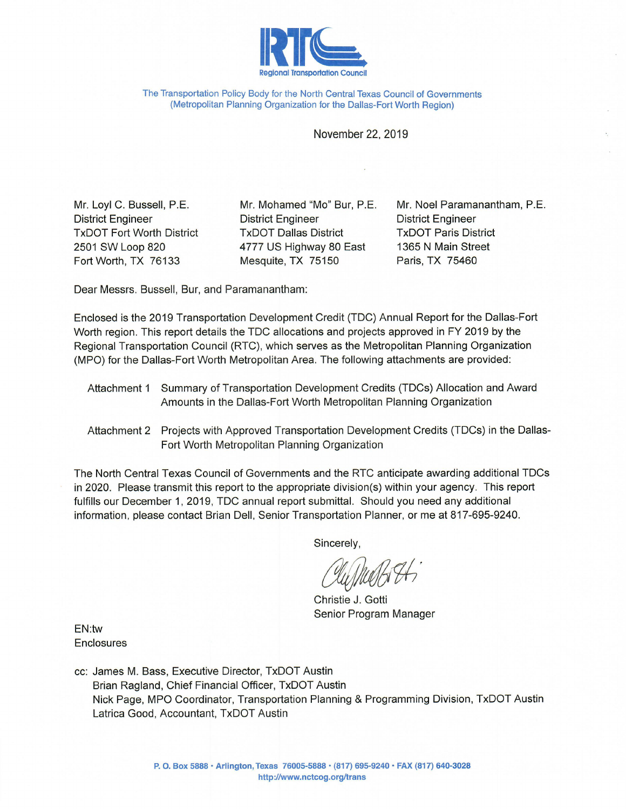

The Transportation Policy Body for the North Central Texas Council of Governments (Metropolitan Planning Organization for the Dallas-Fort Worth Region)

November 22, 2019

Mr. Loyl C. Bussell, P.E. **District Engineer TxDOT Fort Worth District** 2501 SW Loop 820 Fort Worth, TX 76133

Mr. Mohamed "Mo" Bur, P.E. **District Engineer TxDOT Dallas District** 4777 US Highway 80 East Mesquite, TX 75150

Mr. Noel Paramanantham, P.E. **District Engineer TxDOT Paris District** 1365 N Main Street Paris, TX 75460

Dear Messrs. Bussell, Bur, and Paramanantham:

Enclosed is the 2019 Transportation Development Credit (TDC) Annual Report for the Dallas-Fort Worth region. This report details the TDC allocations and projects approved in FY 2019 by the Regional Transportation Council (RTC), which serves as the Metropolitan Planning Organization (MPO) for the Dallas-Fort Worth Metropolitan Area. The following attachments are provided:

- Attachment 1 Summary of Transportation Development Credits (TDCs) Allocation and Award Amounts in the Dallas-Fort Worth Metropolitan Planning Organization
- Attachment 2 Projects with Approved Transportation Development Credits (TDCs) in the Dallas-Fort Worth Metropolitan Planning Organization

The North Central Texas Council of Governments and the RTC anticipate awarding additional TDCs in 2020. Please transmit this report to the appropriate division(s) within your agency. This report fulfills our December 1, 2019, TDC annual report submittal. Should you need any additional information, please contact Brian Dell, Senior Transportation Planner, or me at 817-695-9240.

Sincerely,

Christie J. Gotti Senior Program Manager

EN:tw **Enclosures** 

cc: James M. Bass, Executive Director, TxDOT Austin Brian Ragland, Chief Financial Officer, TxDOT Austin Nick Page, MPO Coordinator, Transportation Planning & Programming Division, TxDOT Austin Latrica Good, Accountant, TxDOT Austin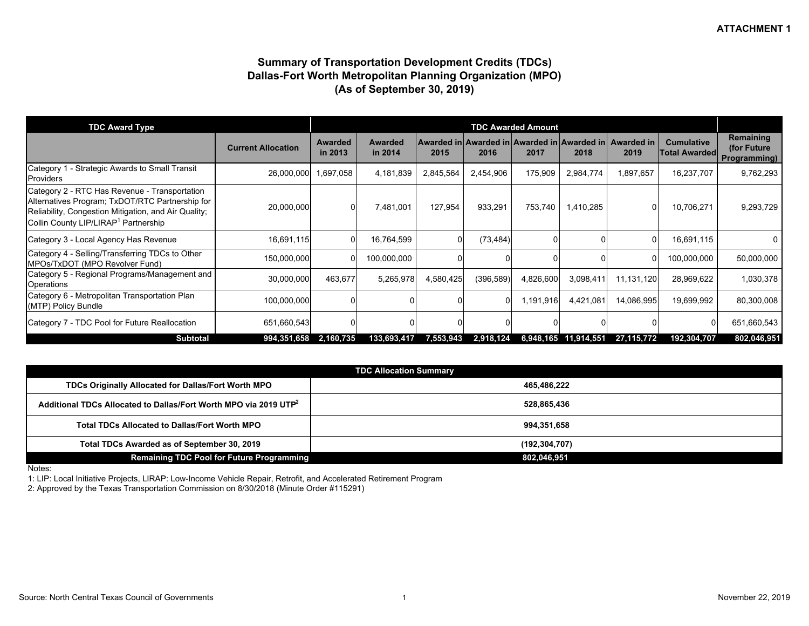#### **Summary of Transportation Development Credits (TDCs) Dallas-Fort Worth Metropolitan Planning Organization (MPO) (As of September 30, 2019)**

| <b>TDC Award Type</b>                                                                                                                                                                                        |                           |                           |                    |           |            | <b>TDC Awarded Amount</b> |                      |                                                                |                                           |                                          |
|--------------------------------------------------------------------------------------------------------------------------------------------------------------------------------------------------------------|---------------------------|---------------------------|--------------------|-----------|------------|---------------------------|----------------------|----------------------------------------------------------------|-------------------------------------------|------------------------------------------|
|                                                                                                                                                                                                              | <b>Current Allocation</b> | <b>Awarded</b><br>in 2013 | Awarded<br>in 2014 | 2015      | 2016       | 2017                      | 2018                 | Awarded in Awarded in Awarded in Awarded in Awarded in<br>2019 | <b>Cumulative</b><br><b>Total Awarded</b> | Remaining<br>(for Future<br>Programming) |
| Category 1<br>- Strategic Awards to Small Transit<br>Providers                                                                                                                                               | 26,000,000                | 1,697,058                 | 4,181,839          | 2,845,564 | 2,454,906  | 175,909                   | 2,984,774            | 1,897,657                                                      | 16,237,707                                | 9,762,293                                |
| Category 2 - RTC Has Revenue - Transportation<br>Alternatives Program; TxDOT/RTC Partnership for<br>Reliability, Congestion Mitigation, and Air Quality;<br>Collin County LIP/LIRAP <sup>1</sup> Partnership | 20,000,000                |                           | 7,481,001          | 127,954   | 933,291    | 753,740                   | 1,410,285            |                                                                | 10,706,271                                | 9,293,729                                |
| Category 3 - Local Agency Has Revenue                                                                                                                                                                        | 16,691,115                |                           | 16,764,599         | 0         | (73, 484)  |                           |                      |                                                                | 16,691,115                                | 0                                        |
| Category 4 - Selling/Transferring TDCs to Other<br>MPOs/TxDOT (MPO Revolver Fund)                                                                                                                            | 150,000,000               |                           | 100,000,000        |           |            |                           |                      |                                                                | 100,000,000                               | 50,000,000                               |
| Category 5 - Regional Programs/Management and<br>Operations                                                                                                                                                  | 30,000,000                | 463,677                   | 5,265,978          | 4,580,425 | (396, 589) | 4,826,600                 | 3,098,411            | 11,131,120                                                     | 28,969,622                                | 1,030,378                                |
| Category 6 - Metropolitan Transportation Plan<br>(MTP) Policy Bundle                                                                                                                                         | 100,000,000               |                           |                    |           | $\Omega$   | 1,191,916                 | 4,421,081            | 14,086,995                                                     | 19,699,992                                | 80,300,008                               |
| Category 7 - TDC Pool for Future Reallocation                                                                                                                                                                | 651,660,543               |                           |                    |           |            |                           |                      |                                                                |                                           | 651,660,543                              |
| <b>Subtotal</b>                                                                                                                                                                                              | 994,351,658               | 2,160,735                 | 133,693,417        | 7,553,943 | 2,918,124  |                           | 6,948,165 11,914,551 | 27,115,772                                                     | 192,304,707                               | 802,046,951                              |

|                                                                              | <b>TDC Allocation Summary</b> |
|------------------------------------------------------------------------------|-------------------------------|
| TDCs Originally Allocated for Dallas/Fort Worth MPO                          | 465.486.222                   |
| Additional TDCs Allocated to Dallas/Fort Worth MPO via 2019 UTP <sup>2</sup> | 528,865,436                   |
| <b>Total TDCs Allocated to Dallas/Fort Worth MPO</b>                         | 994,351,658                   |
| Total TDCs Awarded as of September 30, 2019                                  | (192, 304, 707)               |
| <b>Remaining TDC Pool for Future Programming</b>                             | 802,046,951                   |

Notes:

1: LIP: Local Initiative Projects, LIRAP: Low-Income Vehicle Repair, Retrofit, and Accelerated Retirement Program

2: Approved by the Texas Transportation Commission on 8/30/2018 (Minute Order #115291)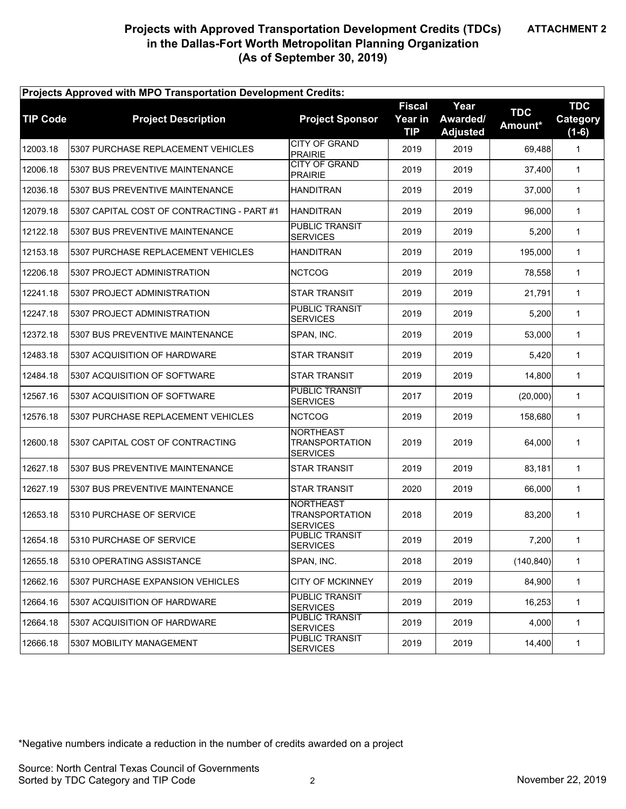# **Projects with Approved Transportation Development Credits (TDCs) in the Dallas-Fort Worth Metropolitan Planning Organization (As of September 30, 2019)**

| Projects Approved with MPO Transportation Development Credits: |                                            |                                                              |                                        |                                     |                       |                                   |  |  |
|----------------------------------------------------------------|--------------------------------------------|--------------------------------------------------------------|----------------------------------------|-------------------------------------|-----------------------|-----------------------------------|--|--|
| <b>TIP Code</b>                                                | <b>Project Description</b>                 | <b>Project Sponsor</b>                                       | <b>Fiscal</b><br>Year in<br><b>TIP</b> | Year<br>Awarded/<br><b>Adjusted</b> | <b>TDC</b><br>Amount* | <b>TDC</b><br>Category<br>$(1-6)$ |  |  |
| 12003.18                                                       | 5307 PURCHASE REPLACEMENT VEHICLES         | <b>CITY OF GRAND</b><br><b>PRAIRIE</b>                       | 2019                                   | 2019                                | 69,488                | $\mathbf{1}$                      |  |  |
| 12006.18                                                       | 5307 BUS PREVENTIVE MAINTENANCE            | <b>CITY OF GRAND</b><br><b>PRAIRIE</b>                       | 2019                                   | 2019                                | 37,400                | $\mathbf{1}$                      |  |  |
| 12036.18                                                       | 5307 BUS PREVENTIVE MAINTENANCE            | <b>HANDITRAN</b>                                             | 2019                                   | 2019                                | 37,000                | $\mathbf{1}$                      |  |  |
| 12079.18                                                       | 5307 CAPITAL COST OF CONTRACTING - PART #1 | <b>HANDITRAN</b>                                             | 2019                                   | 2019                                | 96,000                | $\mathbf{1}$                      |  |  |
| 12122.18                                                       | 5307 BUS PREVENTIVE MAINTENANCE            | PUBLIC TRANSIT<br><b>SERVICES</b>                            | 2019                                   | 2019                                | 5,200                 | $\mathbf{1}$                      |  |  |
| 12153.18                                                       | 5307 PURCHASE REPLACEMENT VEHICLES         | <b>HANDITRAN</b>                                             | 2019                                   | 2019                                | 195,000               | $\mathbf{1}$                      |  |  |
| 12206.18                                                       | 5307 PROJECT ADMINISTRATION                | <b>NCTCOG</b>                                                | 2019                                   | 2019                                | 78,558                | $\mathbf{1}$                      |  |  |
| 12241.18                                                       | 5307 PROJECT ADMINISTRATION                | <b>STAR TRANSIT</b>                                          | 2019                                   | 2019                                | 21.791                | $\mathbf{1}$                      |  |  |
| 12247.18                                                       | 5307 PROJECT ADMINISTRATION                | <b>PUBLIC TRANSIT</b><br><b>SERVICES</b>                     | 2019                                   | 2019                                | 5,200                 | $\mathbf{1}$                      |  |  |
| 12372.18                                                       | 5307 BUS PREVENTIVE MAINTENANCE            | SPAN. INC.                                                   | 2019                                   | 2019                                | 53,000                | $\mathbf{1}$                      |  |  |
| 12483.18                                                       | 5307 ACQUISITION OF HARDWARE               | <b>STAR TRANSIT</b>                                          | 2019                                   | 2019                                | 5,420                 | $\mathbf{1}$                      |  |  |
| 12484.18                                                       | 5307 ACQUISITION OF SOFTWARE               | <b>STAR TRANSIT</b>                                          | 2019                                   | 2019                                | 14,800                | $\mathbf{1}$                      |  |  |
| 12567.16                                                       | 5307 ACQUISITION OF SOFTWARE               | <b>PUBLIC TRANSIT</b><br><b>SERVICES</b>                     | 2017                                   | 2019                                | (20,000)              | $\mathbf{1}$                      |  |  |
| 12576.18                                                       | 5307 PURCHASE REPLACEMENT VEHICLES         | <b>NCTCOG</b>                                                | 2019                                   | 2019                                | 158,680               | $\mathbf{1}$                      |  |  |
| 12600.18                                                       | 5307 CAPITAL COST OF CONTRACTING           | <b>NORTHEAST</b><br>TRANSPORTATION<br><b>SERVICES</b>        | 2019                                   | 2019                                | 64,000                | $\mathbf{1}$                      |  |  |
| 12627.18                                                       | 5307 BUS PREVENTIVE MAINTENANCE            | <b>STAR TRANSIT</b>                                          | 2019                                   | 2019                                | 83,181                | $\mathbf{1}$                      |  |  |
| 12627.19                                                       | 5307 BUS PREVENTIVE MAINTENANCE            | <b>STAR TRANSIT</b>                                          | 2020                                   | 2019                                | 66.000                | $\mathbf{1}$                      |  |  |
| 12653.18                                                       | 5310 PURCHASE OF SERVICE                   | <b>NORTHEAST</b><br><b>TRANSPORTATION</b><br><b>SERVICES</b> | 2018                                   | 2019                                | 83,200                | $\mathbf{1}$                      |  |  |
| 12654.18                                                       | 5310 PURCHASE OF SERVICE                   | PUBLIC TRANSIT<br><b>SERVICES</b>                            | 2019                                   | 2019                                | 7,200                 | 1                                 |  |  |
| 12655.18                                                       | 5310 OPERATING ASSISTANCE                  | SPAN, INC.                                                   | 2018                                   | 2019                                | (140, 840)            | 1                                 |  |  |
| 12662.16                                                       | 5307 PURCHASE EXPANSION VEHICLES           | CITY OF MCKINNEY                                             | 2019                                   | 2019                                | 84,900                | 1                                 |  |  |
| 12664.16                                                       | 5307 ACQUISITION OF HARDWARE               | PUBLIC TRANSIT<br><b>SERVICES</b>                            | 2019                                   | 2019                                | 16,253                | 1                                 |  |  |
| 12664.18                                                       | 5307 ACQUISITION OF HARDWARE               | PUBLIC TRANSIT<br><b>SERVICES</b>                            | 2019                                   | 2019                                | 4,000                 | $\mathbf{1}$                      |  |  |
| 12666.18                                                       | 5307 MOBILITY MANAGEMENT                   | PUBLIC TRANSIT<br><b>SERVICES</b>                            | 2019                                   | 2019                                | 14,400                | $\mathbf{1}$                      |  |  |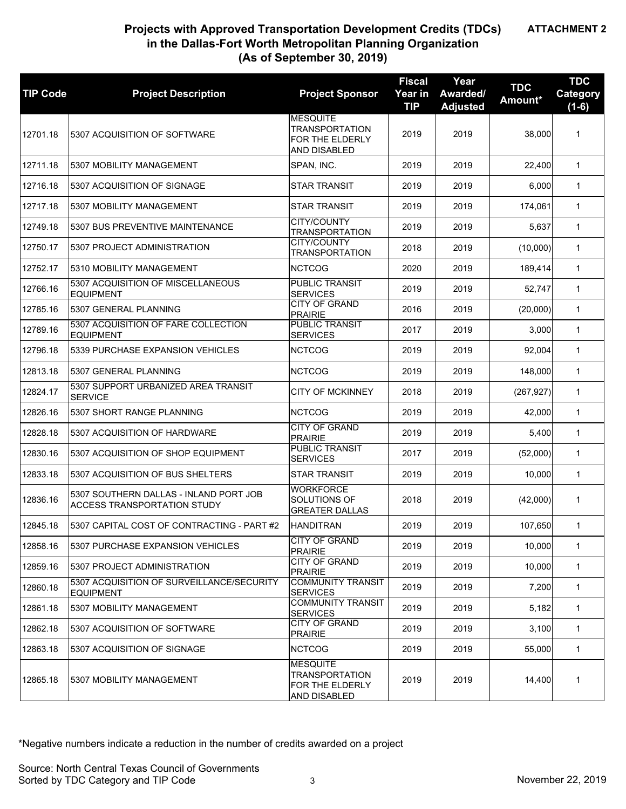# **Projects with Approved Transportation Development Credits (TDCs) in the Dallas-Fort Worth Metropolitan Planning Organization (As of September 30, 2019)**

| <b>TIP Code</b> | <b>Project Description</b>                                            | <b>Project Sponsor</b>                                                      | <b>Fiscal</b><br>Year in<br><b>TIP</b> | Year<br>Awarded/<br><b>Adjusted</b> | <b>TDC</b><br>Amount* | <b>TDC</b><br><b>Category</b><br>$(1-6)$ |
|-----------------|-----------------------------------------------------------------------|-----------------------------------------------------------------------------|----------------------------------------|-------------------------------------|-----------------------|------------------------------------------|
| 12701.18        | 5307 ACQUISITION OF SOFTWARE                                          | <b>MESQUITE</b><br><b>TRANSPORTATION</b><br>FOR THE ELDERLY<br>AND DISABLED | 2019                                   | 2019                                | 38,000                | $\mathbf{1}$                             |
| 12711.18        | 5307 MOBILITY MANAGEMENT                                              | SPAN, INC.                                                                  | 2019                                   | 2019                                | 22,400                | $\mathbf{1}$                             |
| 12716.18        | 5307 ACQUISITION OF SIGNAGE                                           | <b>STAR TRANSIT</b>                                                         | 2019                                   | 2019                                | 6,000                 | $\mathbf{1}$                             |
| 12717.18        | 5307 MOBILITY MANAGEMENT                                              | <b>STAR TRANSIT</b>                                                         | 2019                                   | 2019                                | 174,061               | $\mathbf{1}$                             |
| 12749.18        | 5307 BUS PREVENTIVE MAINTENANCE                                       | CITY/COUNTY<br><b>TRANSPORTATION</b>                                        | 2019                                   | 2019                                | 5,637                 | $\mathbf{1}$                             |
| 12750.17        | 5307 PROJECT ADMINISTRATION                                           | CITY/COUNTY<br><b>TRANSPORTATION</b>                                        | 2018                                   | 2019                                | (10,000)              | $\mathbf{1}$                             |
| 12752.17        | 5310 MOBILITY MANAGEMENT                                              | <b>NCTCOG</b>                                                               | 2020                                   | 2019                                | 189,414               | $\mathbf{1}$                             |
| 12766.16        | 5307 ACQUISITION OF MISCELLANEOUS<br><b>EQUIPMENT</b>                 | <b>PUBLIC TRANSIT</b><br><b>SERVICES</b>                                    | 2019                                   | 2019                                | 52,747                | $\mathbf{1}$                             |
| 12785.16        | 5307 GENERAL PLANNING                                                 | <b>CITY OF GRAND</b><br><b>PRAIRIE</b>                                      | 2016                                   | 2019                                | (20,000)              | $\mathbf{1}$                             |
| 12789.16        | 5307 ACQUISITION OF FARE COLLECTION<br><b>EQUIPMENT</b>               | <b>PUBLIC TRANSIT</b><br><b>SERVICES</b>                                    | 2017                                   | 2019                                | 3,000                 | $\mathbf{1}$                             |
| 12796.18        | 5339 PURCHASE EXPANSION VEHICLES                                      | <b>NCTCOG</b>                                                               | 2019                                   | 2019                                | 92,004                | $\mathbf{1}$                             |
| 12813.18        | 5307 GENERAL PLANNING                                                 | <b>NCTCOG</b>                                                               | 2019                                   | 2019                                | 148,000               | $\mathbf{1}$                             |
| 12824.17        | 5307 SUPPORT URBANIZED AREA TRANSIT<br><b>SERVICE</b>                 | <b>CITY OF MCKINNEY</b>                                                     | 2018                                   | 2019                                | (267, 927)            | $\mathbf{1}$                             |
| 12826.16        | 5307 SHORT RANGE PLANNING                                             | <b>NCTCOG</b>                                                               | 2019                                   | 2019                                | 42,000                | $\mathbf{1}$                             |
| 12828.18        | 5307 ACQUISITION OF HARDWARE                                          | <b>CITY OF GRAND</b><br><b>PRAIRIE</b>                                      | 2019                                   | 2019                                | 5,400                 | $\mathbf{1}$                             |
| 12830.16        | 5307 ACQUISITION OF SHOP EQUIPMENT                                    | PUBLIC TRANSIT<br><b>SERVICES</b>                                           | 2017                                   | 2019                                | (52,000)              | $\mathbf{1}$                             |
| 12833.18        | 5307 ACQUISITION OF BUS SHELTERS                                      | <b>STAR TRANSIT</b>                                                         | 2019                                   | 2019                                | 10,000                | $\mathbf{1}$                             |
| 12836.16        | 5307 SOUTHERN DALLAS - INLAND PORT JOB<br>ACCESS TRANSPORTATION STUDY | <b>WORKFORCE</b><br>SOLUTIONS OF<br><b>GREATER DALLAS</b>                   | 2018                                   | 2019                                | (42,000)              | $\mathbf{1}$                             |
| 12845.18        | 5307 CAPITAL COST OF CONTRACTING - PART #2                            | <b>HANDITRAN</b>                                                            | 2019                                   | 2019                                | 107,650               | $\mathbf{1}$                             |
| 12858.16        | 5307 PURCHASE EXPANSION VEHICLES                                      | <b>CITY OF GRAND</b><br><b>PRAIRIE</b>                                      | 2019                                   | 2019                                | 10,000                | $\mathbf{1}$                             |
| 12859.16        | 5307 PROJECT ADMINISTRATION                                           | CITY OF GRAND<br><b>PRAIRIE</b>                                             | 2019                                   | 2019                                | 10.000                | $\mathbf{1}$                             |
| 12860.18        | 5307 ACQUISITION OF SURVEILLANCE/SECURITY<br><b>EQUIPMENT</b>         | <b>COMMUNITY TRANSIT</b><br><b>SERVICES</b>                                 | 2019                                   | 2019                                | 7,200                 | $\mathbf{1}$                             |
| 12861.18        | 5307 MOBILITY MANAGEMENT                                              | <b>COMMUNITY TRANSIT</b><br><b>SERVICES</b>                                 | 2019                                   | 2019                                | 5.182                 | 1                                        |
| 12862.18        | 5307 ACQUISITION OF SOFTWARE                                          | <b>CITY OF GRAND</b><br><b>PRAIRIE</b>                                      | 2019                                   | 2019                                | 3,100                 | $\mathbf{1}$                             |
| 12863.18        | 5307 ACQUISITION OF SIGNAGE                                           | <b>NCTCOG</b>                                                               | 2019                                   | 2019                                | 55,000                | $\mathbf{1}$                             |
| 12865.18        | 5307 MOBILITY MANAGEMENT                                              | <b>MESQUITE</b><br><b>TRANSPORTATION</b><br>FOR THE ELDERLY<br>AND DISABLED | 2019                                   | 2019                                | 14,400                | $\mathbf{1}$                             |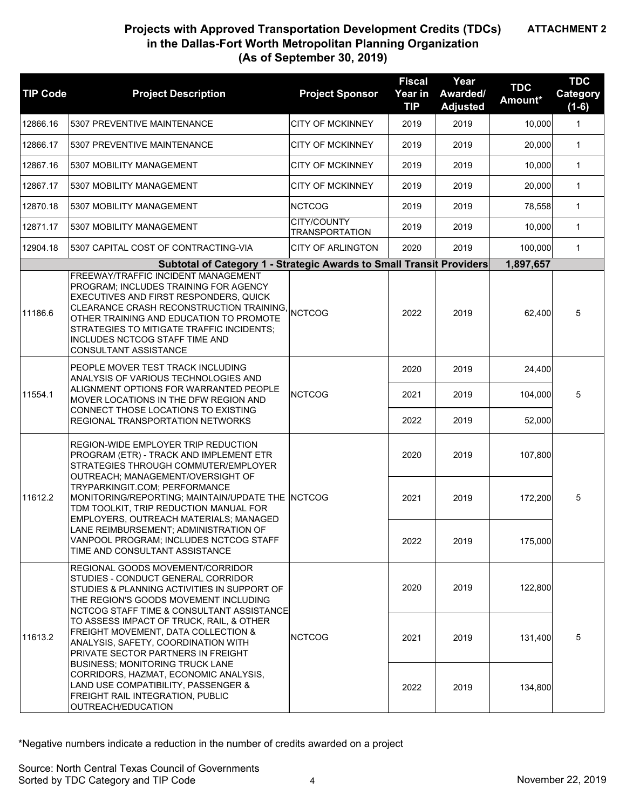## **Projects with Approved Transportation Development Credits (TDCs) in the Dallas-Fort Worth Metropolitan Planning Organization (As of September 30, 2019)**

| <b>TIP Code</b> | <b>Project Description</b>                                                                                                                                                                                                                                                                                                                                                                                                                                                                                                                                                 | <b>Project Sponsor</b>               | <b>Fiscal</b><br>Year in<br><b>TIP</b> | Year<br>Awarded/<br><b>Adjusted</b> | <b>TDC</b><br>Amount* | <b>TDC</b><br>Category<br>$(1-6)$ |
|-----------------|----------------------------------------------------------------------------------------------------------------------------------------------------------------------------------------------------------------------------------------------------------------------------------------------------------------------------------------------------------------------------------------------------------------------------------------------------------------------------------------------------------------------------------------------------------------------------|--------------------------------------|----------------------------------------|-------------------------------------|-----------------------|-----------------------------------|
| 12866.16        | 5307 PREVENTIVE MAINTENANCE                                                                                                                                                                                                                                                                                                                                                                                                                                                                                                                                                | <b>CITY OF MCKINNEY</b>              | 2019                                   | 2019                                | 10,000                | $\mathbf{1}$                      |
| 12866.17        | 5307 PREVENTIVE MAINTENANCE                                                                                                                                                                                                                                                                                                                                                                                                                                                                                                                                                | <b>CITY OF MCKINNEY</b>              | 2019                                   | 2019                                | 20,000                | $\mathbf{1}$                      |
| 12867.16        | 5307 MOBILITY MANAGEMENT                                                                                                                                                                                                                                                                                                                                                                                                                                                                                                                                                   | <b>CITY OF MCKINNEY</b>              | 2019                                   | 2019                                | 10,000                | $\mathbf{1}$                      |
| 12867.17        | 5307 MOBILITY MANAGEMENT                                                                                                                                                                                                                                                                                                                                                                                                                                                                                                                                                   | <b>CITY OF MCKINNEY</b>              | 2019                                   | 2019                                | 20,000                | $\mathbf{1}$                      |
| 12870.18        | 5307 MOBILITY MANAGEMENT                                                                                                                                                                                                                                                                                                                                                                                                                                                                                                                                                   | <b>NCTCOG</b>                        | 2019                                   | 2019                                | 78,558                | $\mathbf{1}$                      |
| 12871.17        | 5307 MOBILITY MANAGEMENT                                                                                                                                                                                                                                                                                                                                                                                                                                                                                                                                                   | CITY/COUNTY<br><b>TRANSPORTATION</b> | 2019                                   | 2019                                | 10,000                | $\mathbf{1}$                      |
| 12904.18        | 5307 CAPITAL COST OF CONTRACTING-VIA                                                                                                                                                                                                                                                                                                                                                                                                                                                                                                                                       | <b>CITY OF ARLINGTON</b>             | 2020                                   | 2019                                | 100,000               | $\mathbf{1}$                      |
|                 | Subtotal of Category 1 - Strategic Awards to Small Transit Providers                                                                                                                                                                                                                                                                                                                                                                                                                                                                                                       |                                      |                                        |                                     | 1,897,657             |                                   |
| 11186.6         | FREEWAY/TRAFFIC INCIDENT MANAGEMENT<br>PROGRAM; INCLUDES TRAINING FOR AGENCY<br>EXECUTIVES AND FIRST RESPONDERS, QUICK<br>CLEARANCE CRASH RECONSTRUCTION TRAINING,<br>OTHER TRAINING AND EDUCATION TO PROMOTE<br>STRATEGIES TO MITIGATE TRAFFIC INCIDENTS;<br>INCLUDES NCTCOG STAFF TIME AND<br>CONSULTANT ASSISTANCE                                                                                                                                                                                                                                                      | <b>NCTCOG</b>                        | 2022                                   | 2019                                | 62,400                | 5                                 |
|                 | PEOPLE MOVER TEST TRACK INCLUDING<br>ANALYSIS OF VARIOUS TECHNOLOGIES AND<br>ALIGNMENT OPTIONS FOR WARRANTED PEOPLE<br>MOVER LOCATIONS IN THE DFW REGION AND<br>CONNECT THOSE LOCATIONS TO EXISTING<br>REGIONAL TRANSPORTATION NETWORKS                                                                                                                                                                                                                                                                                                                                    |                                      | 2020                                   | 2019                                | 24,400                |                                   |
| 11554.1         |                                                                                                                                                                                                                                                                                                                                                                                                                                                                                                                                                                            | <b>NCTCOG</b>                        | 2021                                   | 2019                                | 104,000               | 5                                 |
|                 |                                                                                                                                                                                                                                                                                                                                                                                                                                                                                                                                                                            |                                      | 2022                                   | 2019                                | 52,000                |                                   |
|                 | REGION-WIDE EMPLOYER TRIP REDUCTION<br>PROGRAM (ETR) - TRACK AND IMPLEMENT ETR<br>STRATEGIES THROUGH COMMUTER/EMPLOYER<br>OUTREACH; MANAGEMENT/OVERSIGHT OF<br>TRYPARKINGIT.COM; PERFORMANCE<br>MONITORING/REPORTING; MAINTAIN/UPDATE THE NCTCOG<br>TDM TOOLKIT. TRIP REDUCTION MANUAL FOR<br>EMPLOYERS, OUTREACH MATERIALS; MANAGED                                                                                                                                                                                                                                       |                                      | 2020                                   | 2019                                | 107,800               |                                   |
| 11612.2         |                                                                                                                                                                                                                                                                                                                                                                                                                                                                                                                                                                            |                                      | 2021                                   | 2019                                | 172,200               | 5                                 |
|                 | LANE REIMBURSEMENT; ADMINISTRATION OF<br>VANPOOL PROGRAM; INCLUDES NCTCOG STAFF<br>TIME AND CONSULTANT ASSISTANCE                                                                                                                                                                                                                                                                                                                                                                                                                                                          |                                      | 2022                                   | 2019                                | 175,000               |                                   |
|                 | REGIONAL GOODS MOVEMENT/CORRIDOR<br>STUDIES - CONDUCT GENERAL CORRIDOR<br>STUDIES & PLANNING ACTIVITIES IN SUPPORT OF<br>THE REGION'S GOODS MOVEMENT INCLUDING<br>NCTCOG STAFF TIME & CONSULTANT ASSISTANCE<br>TO ASSESS IMPACT OF TRUCK, RAIL, & OTHER<br><b>FREIGHT MOVEMENT, DATA COLLECTION &amp;</b><br>ANALYSIS, SAFETY, COORDINATION WITH<br>PRIVATE SECTOR PARTNERS IN FREIGHT<br><b>BUSINESS: MONITORING TRUCK LANE</b><br>CORRIDORS, HAZMAT, ECONOMIC ANALYSIS,<br>LAND USE COMPATIBILITY, PASSENGER &<br>FREIGHT RAIL INTEGRATION, PUBLIC<br>OUTREACH/EDUCATION |                                      | 2020                                   | 2019                                | 122,800               |                                   |
| 11613.2         |                                                                                                                                                                                                                                                                                                                                                                                                                                                                                                                                                                            | <b>NCTCOG</b>                        | 2021                                   | 2019                                | 131,400               | 5                                 |
|                 |                                                                                                                                                                                                                                                                                                                                                                                                                                                                                                                                                                            |                                      | 2022                                   | 2019                                | 134,800               |                                   |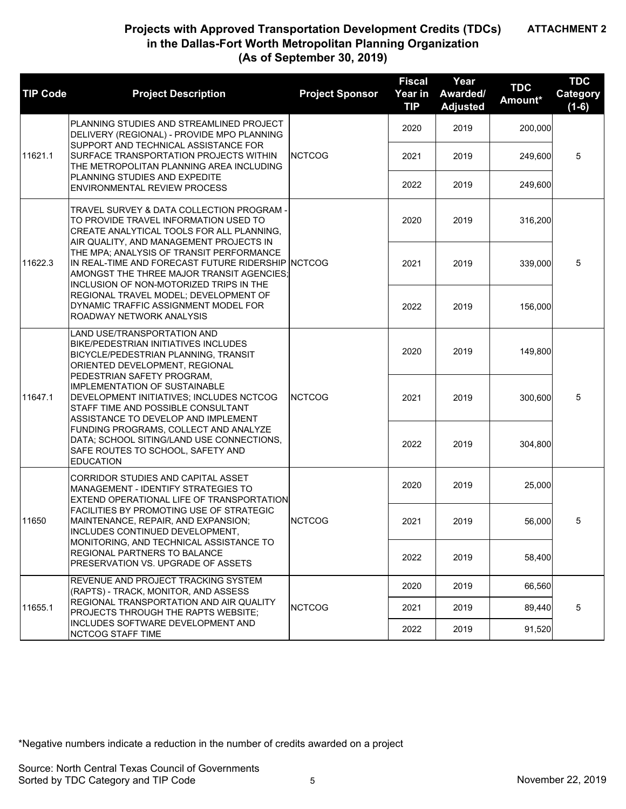**ATTACHMENT 2**

| <b>TIP Code</b> | <b>Project Description</b>                                                                                                                                                                                                                                                                                                                                                                                                                                                                         | <b>Project Sponsor</b> | <b>Fiscal</b><br>Year in<br><b>TIP</b> | Year<br>Awarded/<br><b>Adjusted</b> | <b>TDC</b><br>Amount* | <b>TDC</b><br>Category<br>$(1-6)$ |
|-----------------|----------------------------------------------------------------------------------------------------------------------------------------------------------------------------------------------------------------------------------------------------------------------------------------------------------------------------------------------------------------------------------------------------------------------------------------------------------------------------------------------------|------------------------|----------------------------------------|-------------------------------------|-----------------------|-----------------------------------|
| 11621.1         | PLANNING STUDIES AND STREAMLINED PROJECT<br>DELIVERY (REGIONAL) - PROVIDE MPO PLANNING                                                                                                                                                                                                                                                                                                                                                                                                             |                        | 2020                                   | 2019                                | 200,000               |                                   |
|                 | SUPPORT AND TECHNICAL ASSISTANCE FOR<br>SURFACE TRANSPORTATION PROJECTS WITHIN<br>THE METROPOLITAN PLANNING AREA INCLUDING                                                                                                                                                                                                                                                                                                                                                                         | <b>NCTCOG</b>          | 2021                                   | 2019                                | 249,600               | 5                                 |
|                 | PLANNING STUDIES AND EXPEDITE<br><b>ENVIRONMENTAL REVIEW PROCESS</b>                                                                                                                                                                                                                                                                                                                                                                                                                               |                        | 2022                                   | 2019                                | 249,600               |                                   |
|                 | TRAVEL SURVEY & DATA COLLECTION PROGRAM -<br>TO PROVIDE TRAVEL INFORMATION USED TO<br>CREATE ANALYTICAL TOOLS FOR ALL PLANNING,<br>AIR QUALITY, AND MANAGEMENT PROJECTS IN                                                                                                                                                                                                                                                                                                                         |                        | 2020                                   | 2019                                | 316,200               |                                   |
| 11622.3         | THE MPA; ANALYSIS OF TRANSIT PERFORMANCE<br>IN REAL-TIME AND FORECAST FUTURE RIDERSHIP NCTCOG<br>AMONGST THE THREE MAJOR TRANSIT AGENCIES:<br>INCLUSION OF NON-MOTORIZED TRIPS IN THE<br>REGIONAL TRAVEL MODEL; DEVELOPMENT OF<br>DYNAMIC TRAFFIC ASSIGNMENT MODEL FOR<br>ROADWAY NETWORK ANALYSIS                                                                                                                                                                                                 |                        | 2021                                   | 2019                                | 339,000               | 5                                 |
|                 |                                                                                                                                                                                                                                                                                                                                                                                                                                                                                                    |                        | 2022                                   | 2019                                | 156,000               |                                   |
| 11647.1         | LAND USE/TRANSPORTATION AND<br><b>BIKE/PEDESTRIAN INITIATIVES INCLUDES</b><br>BICYCLE/PEDESTRIAN PLANNING, TRANSIT<br>ORIENTED DEVELOPMENT, REGIONAL<br>PEDESTRIAN SAFETY PROGRAM.<br><b>IMPLEMENTATION OF SUSTAINABLE</b><br>DEVELOPMENT INITIATIVES; INCLUDES NCTCOG<br>STAFF TIME AND POSSIBLE CONSULTANT<br>ASSISTANCE TO DEVELOP AND IMPLEMENT<br>FUNDING PROGRAMS, COLLECT AND ANALYZE<br>DATA; SCHOOL SITING/LAND USE CONNECTIONS,<br>SAFE ROUTES TO SCHOOL, SAFETY AND<br><b>EDUCATION</b> |                        | 2020                                   | 2019                                | 149,800               |                                   |
|                 |                                                                                                                                                                                                                                                                                                                                                                                                                                                                                                    | <b>NCTCOG</b>          | 2021                                   | 2019                                | 300,600               | 5                                 |
|                 |                                                                                                                                                                                                                                                                                                                                                                                                                                                                                                    |                        | 2022                                   | 2019                                | 304,800               |                                   |
|                 | CORRIDOR STUDIES AND CAPITAL ASSET<br>MANAGEMENT - IDENTIFY STRATEGIES TO<br>EXTEND OPERATIONAL LIFE OF TRANSPORTATION                                                                                                                                                                                                                                                                                                                                                                             |                        | 2020                                   | 2019                                | 25,000                |                                   |
| 11650           | FACILITIES BY PROMOTING USE OF STRATEGIC<br>MAINTENANCE, REPAIR, AND EXPANSION;<br>INCLUDES CONTINUED DEVELOPMENT,                                                                                                                                                                                                                                                                                                                                                                                 | <b>NCTCOG</b>          | 2021                                   | 2019                                | 56,000                | 5                                 |
|                 | MONITORING, AND TECHNICAL ASSISTANCE TO<br>REGIONAL PARTNERS TO BALANCE<br>PRESERVATION VS. UPGRADE OF ASSETS                                                                                                                                                                                                                                                                                                                                                                                      |                        | 2022                                   | 2019                                | 58,400                |                                   |
|                 | REVENUE AND PROJECT TRACKING SYSTEM<br>(RAPTS) - TRACK, MONITOR, AND ASSESS                                                                                                                                                                                                                                                                                                                                                                                                                        |                        | 2020                                   | 2019                                | 66,560                |                                   |
| 11655.1         | REGIONAL TRANSPORTATION AND AIR QUALITY<br><b>PROJECTS THROUGH THE RAPTS WEBSITE:</b>                                                                                                                                                                                                                                                                                                                                                                                                              | <b>NCTCOG</b>          | 2021                                   | 2019                                | 89,440                | 5                                 |
|                 | <b>INCLUDES SOFTWARE DEVELOPMENT AND</b><br>NCTCOG STAFF TIME                                                                                                                                                                                                                                                                                                                                                                                                                                      |                        | 2022                                   | 2019                                | 91,520                |                                   |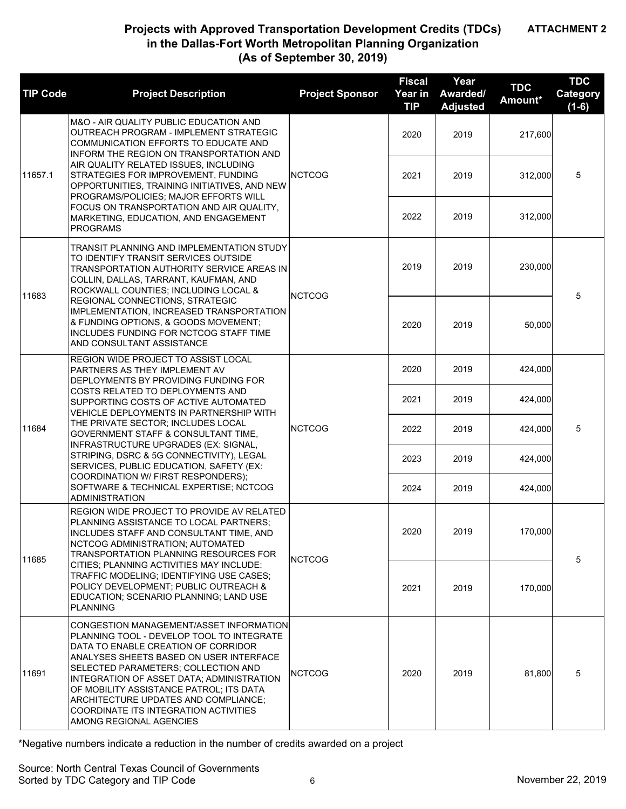**ATTACHMENT 2**

| <b>TIP Code</b> | <b>Project Description</b>                                                                                                                                                                                                                                                                                                                                                                                                                                                                                                                               | <b>Project Sponsor</b> | <b>Fiscal</b><br>Year in<br><b>TIP</b> | Year<br>Awarded/<br><b>Adjusted</b> | <b>TDC</b><br>Amount* | <b>TDC</b><br><b>Category</b><br>$(1-6)$ |
|-----------------|----------------------------------------------------------------------------------------------------------------------------------------------------------------------------------------------------------------------------------------------------------------------------------------------------------------------------------------------------------------------------------------------------------------------------------------------------------------------------------------------------------------------------------------------------------|------------------------|----------------------------------------|-------------------------------------|-----------------------|------------------------------------------|
|                 | M&O - AIR QUALITY PUBLIC EDUCATION AND<br>OUTREACH PROGRAM - IMPLEMENT STRATEGIC<br><b>COMMUNICATION EFFORTS TO EDUCATE AND</b><br>INFORM THE REGION ON TRANSPORTATION AND<br>AIR QUALITY RELATED ISSUES, INCLUDING<br>STRATEGIES FOR IMPROVEMENT, FUNDING<br>OPPORTUNITIES, TRAINING INITIATIVES, AND NEW<br>PROGRAMS/POLICIES; MAJOR EFFORTS WILL<br>FOCUS ON TRANSPORTATION AND AIR QUALITY,<br>MARKETING, EDUCATION, AND ENGAGEMENT<br><b>PROGRAMS</b>                                                                                               |                        | 2020                                   | 2019                                | 217,600               |                                          |
| 11657.1         |                                                                                                                                                                                                                                                                                                                                                                                                                                                                                                                                                          | <b>NCTCOG</b>          | 2021                                   | 2019                                | 312,000               | 5                                        |
|                 |                                                                                                                                                                                                                                                                                                                                                                                                                                                                                                                                                          |                        | 2022                                   | 2019                                | 312.000               |                                          |
| 11683           | TRANSIT PLANNING AND IMPLEMENTATION STUDY<br>TO IDENTIFY TRANSIT SERVICES OUTSIDE<br>TRANSPORTATION AUTHORITY SERVICE AREAS IN<br>COLLIN, DALLAS, TARRANT, KAUFMAN, AND<br>ROCKWALL COUNTIES; INCLUDING LOCAL &<br>REGIONAL CONNECTIONS, STRATEGIC<br>IMPLEMENTATION, INCREASED TRANSPORTATION<br>& FUNDING OPTIONS, & GOODS MOVEMENT;<br>INCLUDES FUNDING FOR NCTCOG STAFF TIME<br>AND CONSULTANT ASSISTANCE                                                                                                                                            | <b>NCTCOG</b>          | 2019                                   | 2019                                | 230,000               | 5                                        |
|                 |                                                                                                                                                                                                                                                                                                                                                                                                                                                                                                                                                          |                        | 2020                                   | 2019                                | 50,000                |                                          |
|                 | REGION WIDE PROJECT TO ASSIST LOCAL<br>PARTNERS AS THEY IMPLEMENT AV<br>DEPLOYMENTS BY PROVIDING FUNDING FOR<br>COSTS RELATED TO DEPLOYMENTS AND<br>SUPPORTING COSTS OF ACTIVE AUTOMATED<br>VEHICLE DEPLOYMENTS IN PARTNERSHIP WITH<br>THE PRIVATE SECTOR; INCLUDES LOCAL<br>GOVERNMENT STAFF & CONSULTANT TIME,<br>INFRASTRUCTURE UPGRADES (EX: SIGNAL,<br>STRIPING, DSRC & 5G CONNECTIVITY), LEGAL<br>SERVICES, PUBLIC EDUCATION, SAFETY (EX:<br>COORDINATION W/ FIRST RESPONDERS);<br>SOFTWARE & TECHNICAL EXPERTISE; NCTCOG<br><b>ADMINISTRATION</b> | <b>NCTCOG</b>          | 2020                                   | 2019                                | 424,000               |                                          |
|                 |                                                                                                                                                                                                                                                                                                                                                                                                                                                                                                                                                          |                        | 2021                                   | 2019                                | 424,000               |                                          |
| 11684           |                                                                                                                                                                                                                                                                                                                                                                                                                                                                                                                                                          |                        | 2022                                   | 2019                                | 424,000               | 5                                        |
|                 |                                                                                                                                                                                                                                                                                                                                                                                                                                                                                                                                                          |                        | 2023                                   | 2019                                | 424,000               |                                          |
|                 |                                                                                                                                                                                                                                                                                                                                                                                                                                                                                                                                                          |                        | 2024                                   | 2019                                | 424,000               |                                          |
|                 | REGION WIDE PROJECT TO PROVIDE AV RELATED<br>PLANNING ASSISTANCE TO LOCAL PARTNERS;<br>INCLUDES STAFF AND CONSULTANT TIME, AND<br>NCTCOG ADMINISTRATION; AUTOMATED<br>TRANSPORTATION PLANNING RESOURCES FOR<br>CITIES: PLANNING ACTIVITIES MAY INCLUDE:<br>TRAFFIC MODELING; IDENTIFYING USE CASES;<br>POLICY DEVELOPMENT; PUBLIC OUTREACH &<br>EDUCATION; SCENARIO PLANNING; LAND USE<br><b>PLANNING</b>                                                                                                                                                | <b>NCTCOG</b>          | 2020                                   | 2019                                | 170,000               | 5                                        |
| 11685           |                                                                                                                                                                                                                                                                                                                                                                                                                                                                                                                                                          |                        | 2021                                   | 2019                                | 170,000               |                                          |
| 11691           | CONGESTION MANAGEMENT/ASSET INFORMATION<br>PLANNING TOOL - DEVELOP TOOL TO INTEGRATE<br>DATA TO ENABLE CREATION OF CORRIDOR<br>ANALYSES SHEETS BASED ON USER INTERFACE<br>SELECTED PARAMETERS; COLLECTION AND<br>INTEGRATION OF ASSET DATA; ADMINISTRATION<br>OF MOBILITY ASSISTANCE PATROL; ITS DATA<br>ARCHITECTURE UPDATES AND COMPLIANCE:<br>COORDINATE ITS INTEGRATION ACTIVITIES<br>AMONG REGIONAL AGENCIES                                                                                                                                        | <b>NCTCOG</b>          | 2020                                   | 2019                                | 81,800                | 5                                        |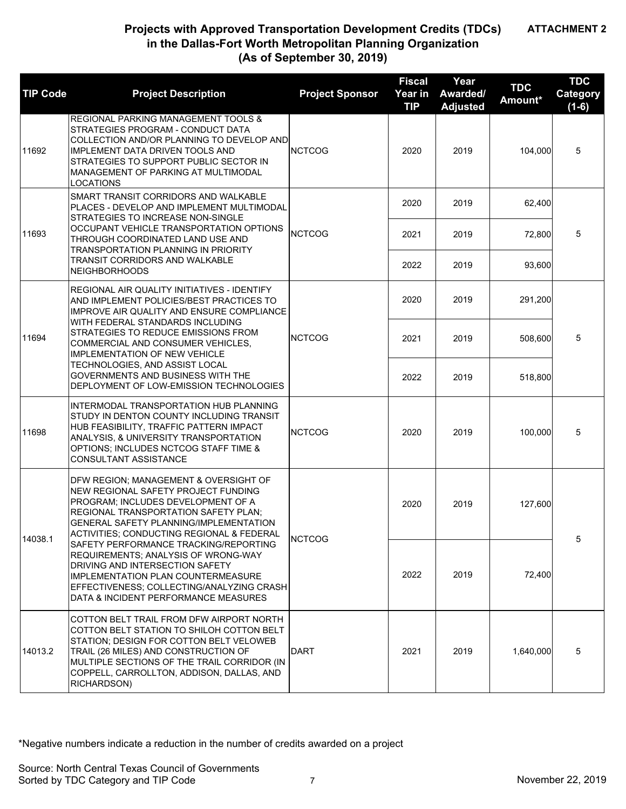**ATTACHMENT 2**

| <b>TIP Code</b> | <b>Project Description</b>                                                                                                                                                                                                                                                                                                                                                                                                                                                                                    | <b>Project Sponsor</b> | <b>Fiscal</b><br>Year in<br><b>TIP</b> | Year<br>Awarded/<br><b>Adjusted</b> | <b>TDC</b><br>Amount* | <b>TDC</b><br>Category<br>$(1-6)$ |
|-----------------|---------------------------------------------------------------------------------------------------------------------------------------------------------------------------------------------------------------------------------------------------------------------------------------------------------------------------------------------------------------------------------------------------------------------------------------------------------------------------------------------------------------|------------------------|----------------------------------------|-------------------------------------|-----------------------|-----------------------------------|
| 11692           | REGIONAL PARKING MANAGEMENT TOOLS &<br>STRATEGIES PROGRAM - CONDUCT DATA<br>COLLECTION AND/OR PLANNING TO DEVELOP AND<br><b>IMPLEMENT DATA DRIVEN TOOLS AND</b><br>STRATEGIES TO SUPPORT PUBLIC SECTOR IN<br>MANAGEMENT OF PARKING AT MULTIMODAL<br>LOCATIONS                                                                                                                                                                                                                                                 | <b>NCTCOG</b>          | 2020                                   | 2019                                | 104,000               | 5                                 |
|                 | SMART TRANSIT CORRIDORS AND WALKABLE<br>PLACES - DEVELOP AND IMPLEMENT MULTIMODAL<br>STRATEGIES TO INCREASE NON-SINGLE                                                                                                                                                                                                                                                                                                                                                                                        |                        | 2020                                   | 2019                                | 62,400                |                                   |
| 11693           | OCCUPANT VEHICLE TRANSPORTATION OPTIONS<br>THROUGH COORDINATED LAND USE AND<br>TRANSPORTATION PLANNING IN PRIORITY<br><b>TRANSIT CORRIDORS AND WALKABLE</b><br><b>NEIGHBORHOODS</b>                                                                                                                                                                                                                                                                                                                           | <b>NCTCOG</b>          | 2021                                   | 2019                                | 72,800                | 5                                 |
|                 |                                                                                                                                                                                                                                                                                                                                                                                                                                                                                                               |                        | 2022                                   | 2019                                | 93,600                |                                   |
| 11694           | REGIONAL AIR QUALITY INITIATIVES - IDENTIFY<br>AND IMPLEMENT POLICIES/BEST PRACTICES TO<br><b>IMPROVE AIR QUALITY AND ENSURE COMPLIANCE</b><br>WITH FEDERAL STANDARDS INCLUDING<br>STRATEGIES TO REDUCE EMISSIONS FROM<br>COMMERCIAL AND CONSUMER VEHICLES,<br><b>IMPLEMENTATION OF NEW VEHICLE</b><br>TECHNOLOGIES, AND ASSIST LOCAL<br>GOVERNMENTS AND BUSINESS WITH THE<br>DEPLOYMENT OF LOW-EMISSION TECHNOLOGIES                                                                                         |                        | 2020                                   | 2019                                | 291,200               |                                   |
|                 |                                                                                                                                                                                                                                                                                                                                                                                                                                                                                                               | <b>NCTCOG</b>          | 2021                                   | 2019                                | 508,600               | 5                                 |
|                 |                                                                                                                                                                                                                                                                                                                                                                                                                                                                                                               |                        | 2022                                   | 2019                                | 518,800               |                                   |
| 11698           | INTERMODAL TRANSPORTATION HUB PLANNING<br>STUDY IN DENTON COUNTY INCLUDING TRANSIT<br>HUB FEASIBILITY, TRAFFIC PATTERN IMPACT<br>ANALYSIS, & UNIVERSITY TRANSPORTATION<br>OPTIONS; INCLUDES NCTCOG STAFF TIME &<br>CONSULTANT ASSISTANCE                                                                                                                                                                                                                                                                      | <b>NCTCOG</b>          | 2020                                   | 2019                                | 100,000               | 5                                 |
| 14038.1         | DFW REGION: MANAGEMENT & OVERSIGHT OF<br>NEW REGIONAL SAFETY PROJECT FUNDING<br>PROGRAM; INCLUDES DEVELOPMENT OF A<br>REGIONAL TRANSPORTATION SAFETY PLAN;<br><b>GENERAL SAFETY PLANNING/IMPLEMENTATION</b><br>ACTIVITIES; CONDUCTING REGIONAL & FEDERAL<br>SAFETY PERFORMANCE TRACKING/REPORTING<br>REQUIREMENTS; ANALYSIS OF WRONG-WAY<br>DRIVING AND INTERSECTION SAFETY<br><b>IMPLEMENTATION PLAN COUNTERMEASURE</b><br>EFFECTIVENESS: COLLECTING/ANALYZING CRASH<br>DATA & INCIDENT PERFORMANCE MEASURES | <b>NCTCOG</b>          | 2020                                   | 2019                                | 127,600               | 5                                 |
|                 |                                                                                                                                                                                                                                                                                                                                                                                                                                                                                                               |                        | 2022                                   | 2019                                | 72,400                |                                   |
| 14013.2         | COTTON BELT TRAIL FROM DFW AIRPORT NORTH<br>COTTON BELT STATION TO SHILOH COTTON BELT<br>STATION: DESIGN FOR COTTON BELT VELOWEB<br>TRAIL (26 MILES) AND CONSTRUCTION OF<br>MULTIPLE SECTIONS OF THE TRAIL CORRIDOR (IN<br>COPPELL, CARROLLTON, ADDISON, DALLAS, AND<br>RICHARDSON)                                                                                                                                                                                                                           | <b>DART</b>            | 2021                                   | 2019                                | 1,640,000             | 5                                 |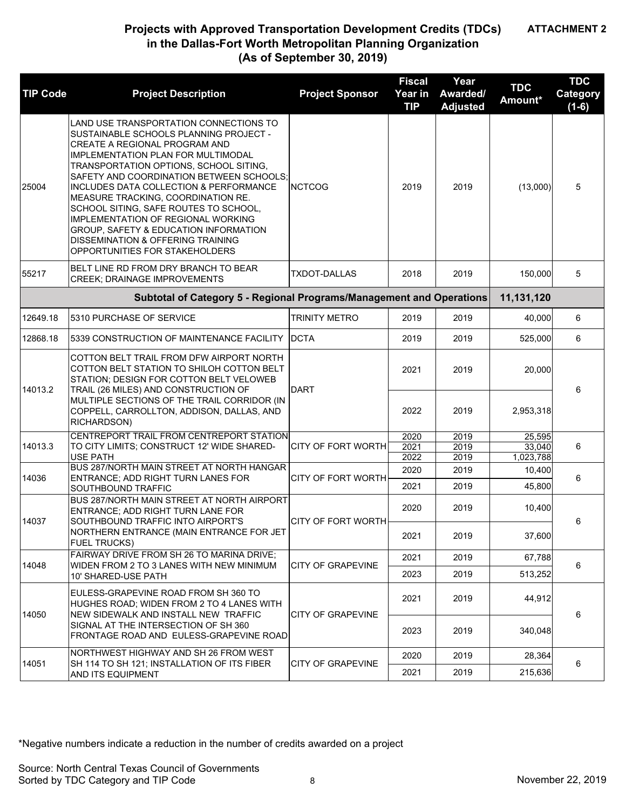**ATTACHMENT 2**

| <b>TIP Code</b> | <b>Project Description</b>                                                                                                                                                                                                                                                                                                                                                                                                                                                                                                          | <b>Project Sponsor</b>    | <b>Fiscal</b><br>Year in<br><b>TIP</b> | Year<br>Awarded/<br><b>Adjusted</b> | <b>TDC</b><br>Amount* | <b>TDC</b><br><b>Category</b><br>$(1-6)$ |
|-----------------|-------------------------------------------------------------------------------------------------------------------------------------------------------------------------------------------------------------------------------------------------------------------------------------------------------------------------------------------------------------------------------------------------------------------------------------------------------------------------------------------------------------------------------------|---------------------------|----------------------------------------|-------------------------------------|-----------------------|------------------------------------------|
| 25004           | LAND USE TRANSPORTATION CONNECTIONS TO<br>SUSTAINABLE SCHOOLS PLANNING PROJECT -<br>CREATE A REGIONAL PROGRAM AND<br>IMPLEMENTATION PLAN FOR MULTIMODAL<br>TRANSPORTATION OPTIONS, SCHOOL SITING,<br>SAFETY AND COORDINATION BETWEEN SCHOOLS;<br>INCLUDES DATA COLLECTION & PERFORMANCE<br>MEASURE TRACKING, COORDINATION RE.<br>SCHOOL SITING, SAFE ROUTES TO SCHOOL,<br><b>IMPLEMENTATION OF REGIONAL WORKING</b><br>GROUP, SAFETY & EDUCATION INFORMATION<br>DISSEMINATION & OFFERING TRAINING<br>OPPORTUNITIES FOR STAKEHOLDERS | <b>NCTCOG</b>             | 2019                                   | 2019                                | (13,000)              | 5                                        |
| 55217           | BELT LINE RD FROM DRY BRANCH TO BEAR<br><b>CREEK; DRAINAGE IMPROVEMENTS</b>                                                                                                                                                                                                                                                                                                                                                                                                                                                         | <b>TXDOT-DALLAS</b>       | 2018                                   | 2019                                | 150,000               | 5                                        |
|                 | Subtotal of Category 5 - Regional Programs/Management and Operations                                                                                                                                                                                                                                                                                                                                                                                                                                                                |                           |                                        |                                     | 11,131,120            |                                          |
| 12649.18        | 5310 PURCHASE OF SERVICE                                                                                                                                                                                                                                                                                                                                                                                                                                                                                                            | <b>TRINITY METRO</b>      | 2019                                   | 2019                                | 40,000                | 6                                        |
| 12868.18        | 5339 CONSTRUCTION OF MAINTENANCE FACILITY                                                                                                                                                                                                                                                                                                                                                                                                                                                                                           | <b>DCTA</b>               | 2019                                   | 2019                                | 525,000               | 6                                        |
| 14013.2         | COTTON BELT TRAIL FROM DFW AIRPORT NORTH<br>COTTON BELT STATION TO SHILOH COTTON BELT<br>STATION; DESIGN FOR COTTON BELT VELOWEB                                                                                                                                                                                                                                                                                                                                                                                                    | <b>DART</b>               | 2021                                   | 2019                                | 20,000                | 6                                        |
|                 | TRAIL (26 MILES) AND CONSTRUCTION OF<br>MULTIPLE SECTIONS OF THE TRAIL CORRIDOR (IN<br>COPPELL, CARROLLTON, ADDISON, DALLAS, AND<br>RICHARDSON)                                                                                                                                                                                                                                                                                                                                                                                     |                           | 2022                                   | 2019                                | 2,953,318             |                                          |
| 14013.3         | CENTREPORT TRAIL FROM CENTREPORT STATION<br>TO CITY LIMITS; CONSTRUCT 12' WIDE SHARED-                                                                                                                                                                                                                                                                                                                                                                                                                                              | <b>CITY OF FORT WORTH</b> | 2020<br>2021                           | 2019<br>2019                        | 25,595<br>33,040      | 6                                        |
|                 | <b>USE PATH</b>                                                                                                                                                                                                                                                                                                                                                                                                                                                                                                                     |                           | 2022                                   | 2019                                | 1,023,788             |                                          |
|                 | BUS 287/NORTH MAIN STREET AT NORTH HANGAR                                                                                                                                                                                                                                                                                                                                                                                                                                                                                           |                           | 2020                                   | 2019                                | 10,400                |                                          |
| 14036           | ENTRANCE; ADD RIGHT TURN LANES FOR<br>SOUTHBOUND TRAFFIC                                                                                                                                                                                                                                                                                                                                                                                                                                                                            | CITY OF FORT WORTH        | 2021                                   | 2019                                | 45,800                | 6                                        |
| 14037           | BUS 287/NORTH MAIN STREET AT NORTH AIRPORT<br>ENTRANCE; ADD RIGHT TURN LANE FOR<br>SOUTHBOUND TRAFFIC INTO AIRPORT'S                                                                                                                                                                                                                                                                                                                                                                                                                | <b>CITY OF FORT WORTH</b> | 2020                                   | 2019                                | 10,400                | 6                                        |
|                 | NORTHERN ENTRANCE (MAIN ENTRANCE FOR JET<br><b>FUEL TRUCKS)</b>                                                                                                                                                                                                                                                                                                                                                                                                                                                                     |                           | 2021                                   | 2019                                | 37,600                |                                          |
| 14048           | <b>FAIRWAY DRIVE FROM SH 26 TO MARINA DRIVE:</b><br>WIDEN FROM 2 TO 3 LANES WITH NEW MINIMUM                                                                                                                                                                                                                                                                                                                                                                                                                                        | <b>CITY OF GRAPEVINE</b>  | 2021                                   | 2019                                | 67,788                | 6                                        |
|                 | 10' SHARED-USE PATH                                                                                                                                                                                                                                                                                                                                                                                                                                                                                                                 |                           | 2023                                   | 2019                                | 513,252               |                                          |
| 14050           | EULESS-GRAPEVINE ROAD FROM SH 360 TO<br>HUGHES ROAD; WIDEN FROM 2 TO 4 LANES WITH<br>NEW SIDEWALK AND INSTALL NEW TRAFFIC                                                                                                                                                                                                                                                                                                                                                                                                           | CITY OF GRAPEVINE         | 2021                                   | 2019                                | 44,912                | 6                                        |
|                 | SIGNAL AT THE INTERSECTION OF SH 360<br>FRONTAGE ROAD AND EULESS-GRAPEVINE ROAD                                                                                                                                                                                                                                                                                                                                                                                                                                                     |                           | 2023                                   | 2019                                | 340.048               |                                          |
|                 | NORTHWEST HIGHWAY AND SH 26 FROM WEST                                                                                                                                                                                                                                                                                                                                                                                                                                                                                               |                           | 2020                                   | 2019                                | 28,364                |                                          |
| 14051           | SH 114 TO SH 121; INSTALLATION OF ITS FIBER<br>AND ITS EQUIPMENT                                                                                                                                                                                                                                                                                                                                                                                                                                                                    | <b>CITY OF GRAPEVINE</b>  | 2021                                   | 2019                                | 215,636               | 6                                        |